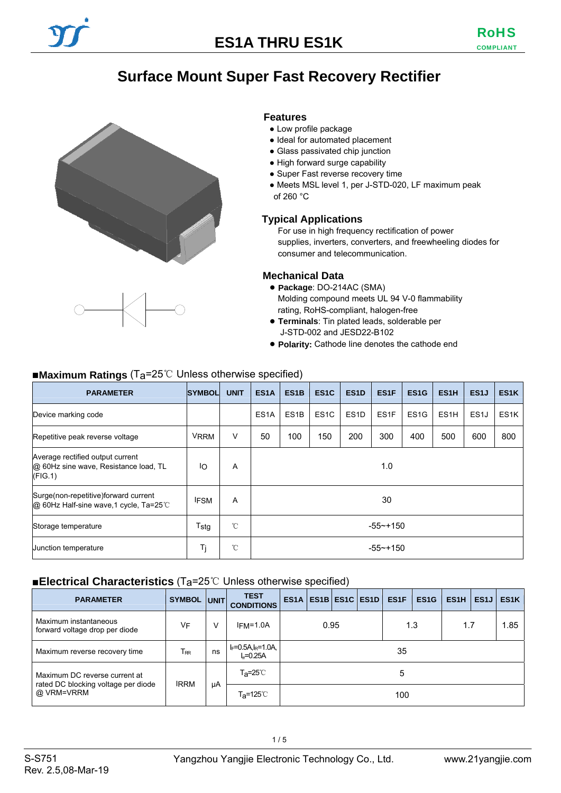## **Surface Mount Super Fast Recovery Rectifier**

 **Features** 





- Ideal for automated placement
- Glass passivated chip junction
- High forward surge capability
- Super Fast reverse recovery time
- Meets MSL level 1, per J-STD-020, LF maximum peak of 260 °C

#### **Typical Applications**

For use in high frequency rectification of power supplies, inverters, converters, and freewheeling diodes for consumer and telecommunication.

#### **Mechanical Data**

- **Package**: DO-214AC (SMA) Molding compound meets UL 94 V-0 flammability rating, RoHS-compliant, halogen-free
- **Terminals**: Tin plated leads, solderable per J-STD-002 and JESD22-B102
- **Polarity:** Cathode line denotes the cathode end

### ■**Maximum Ratings** (T<sub>a</sub>=25℃ Unless otherwise specified)

| <b>PARAMETER</b>                                                                      | <b>SYMBOL</b>    | <b>UNIT</b>  | ES <sub>1</sub> A | ES <sub>1</sub> B | ES <sub>1</sub> C | ES <sub>1</sub> D | ES1F              | ES <sub>1</sub> G | ES <sub>1</sub> H | ES <sub>1</sub> | ES <sub>1</sub> K |
|---------------------------------------------------------------------------------------|------------------|--------------|-------------------|-------------------|-------------------|-------------------|-------------------|-------------------|-------------------|-----------------|-------------------|
| Device marking code                                                                   |                  |              | ES <sub>1</sub> A | ES <sub>1</sub> B | ES <sub>1</sub> C | ES <sub>1</sub> D | ES <sub>1</sub> F | ES <sub>1</sub> G | ES <sub>1</sub> H | ES <sub>1</sub> | ES <sub>1</sub> K |
| Repetitive peak reverse voltage                                                       | <b>VRRM</b>      | $\vee$       | 50                | 100               | 150               | 200               | 300               | 400               | 500               | 600             | 800               |
| Average rectified output current<br>@ 60Hz sine wave, Resistance load, TL<br>(FIG. 1) | ΙO               | A            | 1.0               |                   |                   |                   |                   |                   |                   |                 |                   |
| Surge(non-repetitive)forward current<br>@ 60Hz Half-sine wave, 1 cycle, Ta=25 °C      | <b>IFSM</b>      | A            | 30                |                   |                   |                   |                   |                   |                   |                 |                   |
| Storage temperature                                                                   | $T_{\text{stg}}$ | $^{\circ}$ C | $-55$ ~+150       |                   |                   |                   |                   |                   |                   |                 |                   |
| <b>Junction temperature</b>                                                           | Τj               | °C           | $-55$ ~+150       |                   |                   |                   |                   |                   |                   |                 |                   |

### ■**Electrical Characteristics** (T<sub>a</sub>=25℃ Unless otherwise specified)

| <b>PARAMETER</b>                                                     | <b>SYMBOL</b>              | <b>UNIT</b> | <b>TEST</b><br><b>CONDITIONS</b>                 |     |     |  | <b>ES1A   ES1B   ES1C   ES1D  </b> | ES <sub>1F</sub> | ES <sub>1</sub> G | ES <sub>1</sub> H | ES <sub>1</sub> J | ES <sub>1</sub> K |
|----------------------------------------------------------------------|----------------------------|-------------|--------------------------------------------------|-----|-----|--|------------------------------------|------------------|-------------------|-------------------|-------------------|-------------------|
| Maximum instantaneous<br>forward voltage drop per diode              | VF                         |             | 0.95<br>$IFM=1.0A$                               |     | 1.3 |  | 1.7                                |                  | 1.85              |                   |                   |                   |
| Maximum reverse recovery time                                        | $\mathsf{T}_{\mathsf{RR}}$ | ns          | $I_F = 0.5A, I_R = 1.0A,$<br>35<br>$I_n = 0.25A$ |     |     |  |                                    |                  |                   |                   |                   |                   |
| Maximum DC reverse current at<br>rated DC blocking voltage per diode | <b>IRRM</b>                |             | T <sub>a</sub> =25℃                              | 5   |     |  |                                    |                  |                   |                   |                   |                   |
| @ VRM=VRRM                                                           |                            | μA          | $T_{\mathbf{a}}$ =125 $^{\circ}$ C               | 100 |     |  |                                    |                  |                   |                   |                   |                   |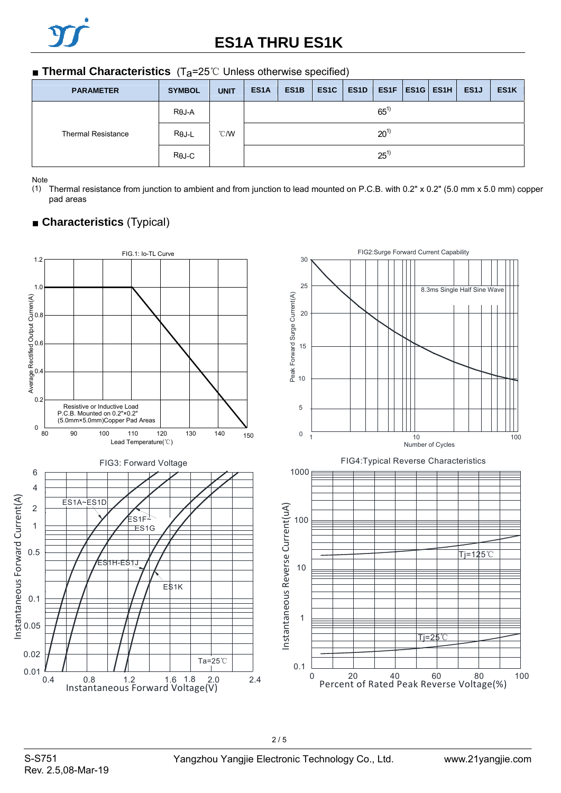# **ES1A THRU ES1K**

#### ■ **Thermal Characteristics** (T<sub>a</sub>=25℃ Unless otherwise specified)

| <b>PARAMETER</b>          | <b>SYMBOL</b> | <b>UNIT</b>   | ES <sub>1</sub> A | ES <sub>1</sub> B | ES <sub>1</sub> C | ES <sub>1</sub> D |  |  | $ES1F$ ES1G ES1H | ES <sub>1</sub> | ES <sub>1</sub> K |  |
|---------------------------|---------------|---------------|-------------------|-------------------|-------------------|-------------------|--|--|------------------|-----------------|-------------------|--|
|                           | $R\theta J-A$ |               | $65^{1}$          |                   |                   |                   |  |  |                  |                 |                   |  |
| <b>Thermal Resistance</b> | $R\theta$ J-L | $\degree$ C/W | $20^{1}$          |                   |                   |                   |  |  |                  |                 |                   |  |
|                           | $R\theta$ J-C |               | $25^{1}$          |                   |                   |                   |  |  |                  |                 |                   |  |

Note

(1) Thermal resistance from junction to ambient and from junction to lead mounted on P.C.B. with 0.2" x 0.2" (5.0 mm x 5.0 mm) copper pad areas



### ■ **Characteristics** (Typical)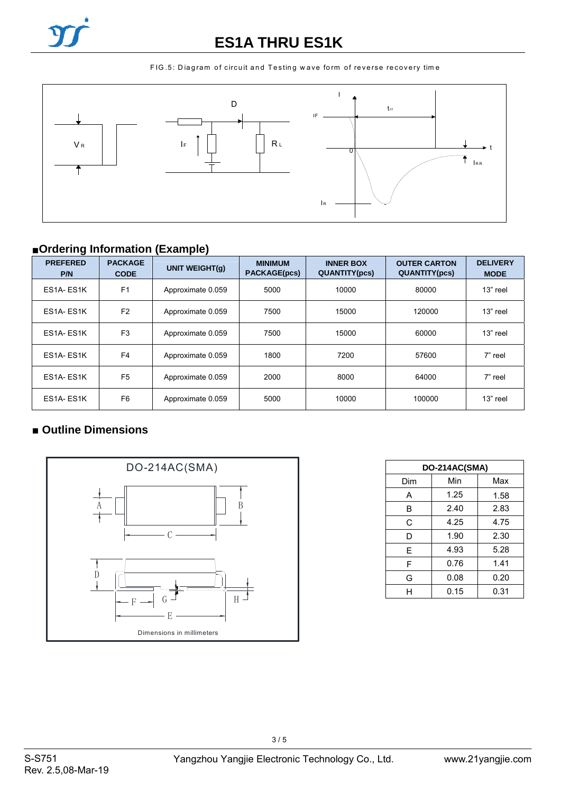

## **ES1A THRU ES1K**

FIG.5: Diagram of circuit and Testing wave form of reverse recovery time



## ■**Ordering Information (Example)**

| ັ<br><b>PREFERED</b><br>P/N | <b>PACKAGE</b><br><b>CODE</b> | $\overline{\phantom{a}}$<br><b>UNIT WEIGHT(g)</b> | <b>MINIMUM</b><br><b>PACKAGE(pcs)</b> | <b>INNER BOX</b><br><b>QUANTITY(pcs)</b> | <b>OUTER CARTON</b><br><b>QUANTITY(pcs)</b> | <b>DELIVERY</b><br><b>MODE</b> |
|-----------------------------|-------------------------------|---------------------------------------------------|---------------------------------------|------------------------------------------|---------------------------------------------|--------------------------------|
| ES1A-ES1K                   | F <sub>1</sub>                | Approximate 0.059                                 | 5000                                  | 10000                                    | 80000                                       | 13" reel                       |
| ES1A-ES1K                   | F <sub>2</sub>                | Approximate 0.059                                 | 7500                                  | 15000                                    | 120000                                      | 13" reel                       |
| ES1A-ES1K                   | F <sub>3</sub>                | Approximate 0.059                                 | 7500                                  | 15000                                    | 60000                                       | 13" reel                       |
| ES1A-ES1K                   | F <sub>4</sub>                | Approximate 0.059                                 | 1800                                  | 7200                                     | 57600                                       | 7" reel                        |
| ES1A-ES1K                   | F <sub>5</sub>                | Approximate 0.059                                 | 2000                                  | 8000                                     | 64000                                       | 7" reel                        |
| ES1A-ES1K                   | F <sub>6</sub>                | Approximate 0.059                                 | 5000                                  | 10000                                    | 100000                                      | 13" reel                       |

### ■ **Outline Dimensions**



| DO-214AC(SMA) |      |      |  |  |  |  |  |
|---------------|------|------|--|--|--|--|--|
| Dim           | Min  | Max  |  |  |  |  |  |
| A             | 1.25 | 1.58 |  |  |  |  |  |
| B             | 2.40 | 2.83 |  |  |  |  |  |
| C             | 4.25 | 4.75 |  |  |  |  |  |
| D             | 1.90 | 2.30 |  |  |  |  |  |
| E             | 4.93 | 5.28 |  |  |  |  |  |
| F             | 0.76 | 1.41 |  |  |  |  |  |
| G             | 0.08 | 0.20 |  |  |  |  |  |
|               | 0.15 | 0.31 |  |  |  |  |  |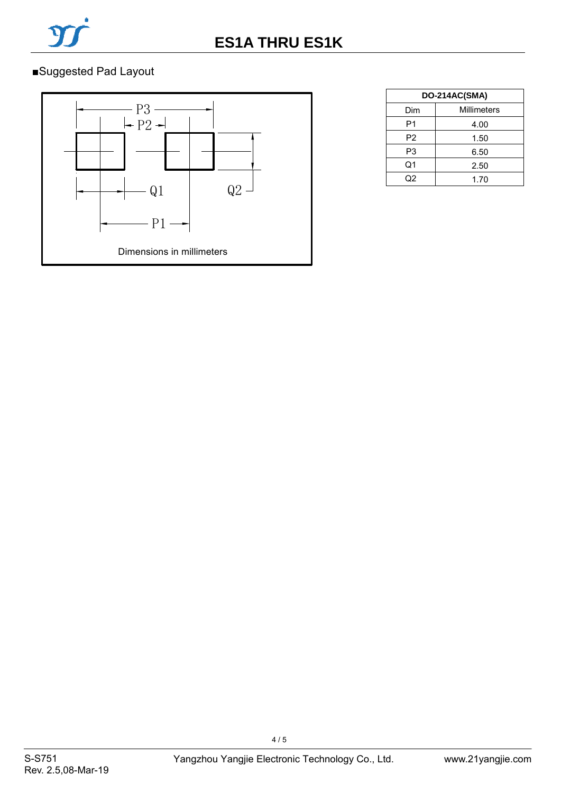

## ■Suggested Pad Layout



| DO-214AC(SMA)  |             |  |  |  |  |
|----------------|-------------|--|--|--|--|
| Dim            | Millimeters |  |  |  |  |
| P1             | 4.00        |  |  |  |  |
| P <sub>2</sub> | 1.50        |  |  |  |  |
| P <sub>3</sub> | 6.50        |  |  |  |  |
| Q1             | 2.50        |  |  |  |  |
| מר             | 1.70        |  |  |  |  |